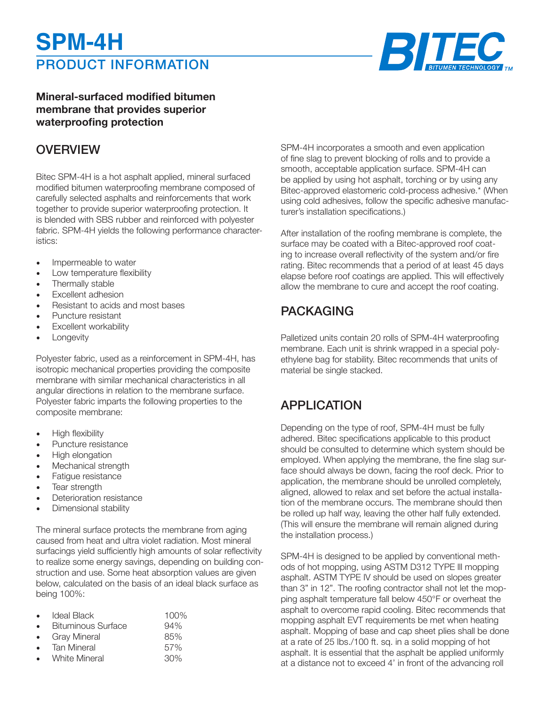# PRODUCT INFORMATION **SPM-4H**



### **Mineral-surfaced modified bitumen membrane that provides superior waterproofing protection**

### **OVERVIEW**

Bitec SPM-4H is a hot asphalt applied, mineral surfaced modified bitumen waterproofing membrane composed of carefully selected asphalts and reinforcements that work together to provide superior waterproofing protection. It is blended with SBS rubber and reinforced with polyester fabric. SPM-4H yields the following performance characteristics:

- Impermeable to water
- Low temperature flexibility
- Thermally stable
- Excellent adhesion
- Resistant to acids and most bases
- Puncture resistant
- **Excellent workability**
- **Longevity**

Polyester fabric, used as a reinforcement in SPM-4H, has isotropic mechanical properties providing the composite membrane with similar mechanical characteristics in all angular directions in relation to the membrane surface. Polyester fabric imparts the following properties to the composite membrane:

- High flexibility
- Puncture resistance
- High elongation
- Mechanical strength
- Fatigue resistance
- Tear strength
- Deterioration resistance
- Dimensional stability

The mineral surface protects the membrane from aging caused from heat and ultra violet radiation. Most mineral surfacings yield sufficiently high amounts of solar reflectivity to realize some energy savings, depending on building construction and use. Some heat absorption values are given below, calculated on the basis of an ideal black surface as being 100%:

| <b>Ideal Black</b>        | $100\%$ |
|---------------------------|---------|
| <b>Bituminous Surface</b> | 94%     |
| <b>Gray Mineral</b>       | 85%     |
| <b>Tan Mineral</b>        | 57%     |
| White Mineral             | 30%     |

SPM-4H incorporates a smooth and even application of fine slag to prevent blocking of rolls and to provide a smooth, acceptable application surface. SPM-4H can be applied by using hot asphalt, torching or by using any Bitec-approved elastomeric cold-process adhesive.\* (When using cold adhesives, follow the specific adhesive manufacturer's installation specifications.)

After installation of the roofing membrane is complete, the surface may be coated with a Bitec-approved roof coating to increase overall reflectivity of the system and/or fire rating. Bitec recommends that a period of at least 45 days elapse before roof coatings are applied. This will effectively allow the membrane to cure and accept the roof coating.

## PACKAGING

Palletized units contain 20 rolls of SPM-4H waterproofing membrane. Each unit is shrink wrapped in a special polyethylene bag for stability. Bitec recommends that units of material be single stacked.

## APPLICATION

Depending on the type of roof, SPM-4H must be fully adhered. Bitec specifications applicable to this product should be consulted to determine which system should be employed. When applying the membrane, the fine slag surface should always be down, facing the roof deck. Prior to application, the membrane should be unrolled completely, aligned, allowed to relax and set before the actual installation of the membrane occurs. The membrane should then be rolled up half way, leaving the other half fully extended. (This will ensure the membrane will remain aligned during the installation process.)

SPM-4H is designed to be applied by conventional methods of hot mopping, using ASTM D312 TYPE lll mopping asphalt. ASTM TYPE IV should be used on slopes greater than 3" in 12". The roofing contractor shall not let the mopping asphalt temperature fall below 450°F or overheat the asphalt to overcome rapid cooling. Bitec recommends that mopping asphalt EVT requirements be met when heating asphalt. Mopping of base and cap sheet plies shall be done at a rate of 25 Ibs./100 ft. sq. in a solid mopping of hot asphalt. It is essential that the asphalt be applied uniformly at a distance not to exceed 4' in front of the advancing roll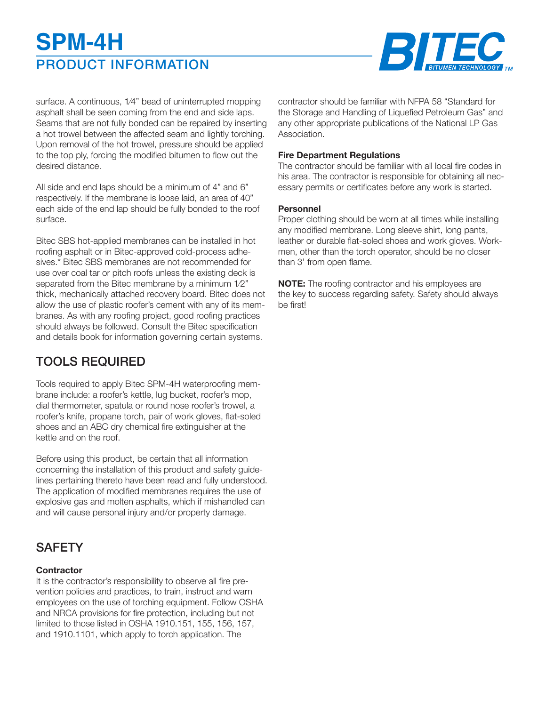# PRODUCT INFORMATION **SPM-4H**



surface. A continuous, 1⁄4" bead of uninterrupted mopping asphalt shall be seen coming from the end and side laps. Seams that are not fully bonded can be repaired by inserting a hot trowel between the affected seam and lightly torching. Upon removal of the hot trowel, pressure should be applied to the top ply, forcing the modified bitumen to flow out the desired distance.

All side and end laps should be a minimum of 4" and 6" respectively. If the membrane is loose laid, an area of 40" each side of the end lap should be fully bonded to the roof surface.

Bitec SBS hot-applied membranes can be installed in hot roofing asphalt or in Bitec-approved cold-process adhesives.\* Bitec SBS membranes are not recommended for use over coal tar or pitch roofs unless the existing deck is separated from the Bitec membrane by a minimum 1⁄2" thick, mechanically attached recovery board. Bitec does not allow the use of plastic roofer's cement with any of its membranes. As with any roofing project, good roofing practices should always be followed. Consult the Bitec specification and details book for information governing certain systems.

# TOOLS REQUIRED

Tools required to apply Bitec SPM-4H waterproofing membrane include: a roofer's kettle, lug bucket, roofer's mop, dial thermometer, spatula or round nose roofer's trowel, a roofer's knife, propane torch, pair of work gloves, flat-soled shoes and an ABC dry chemical fire extinguisher at the kettle and on the roof.

Before using this product, be certain that all information concerning the installation of this product and safety guidelines pertaining thereto have been read and fully understood. The application of modified membranes requires the use of explosive gas and molten asphalts, which if mishandled can and will cause personal injury and/or property damage.

# **SAFETY**

#### **Contractor**

It is the contractor's responsibility to observe all fire prevention policies and practices, to train, instruct and warn employees on the use of torching equipment. Follow OSHA and NRCA provisions for fire protection, including but not limited to those listed in OSHA 1910.151, 155, 156, 157, and 1910.1101, which apply to torch application. The

contractor should be familiar with NFPA 58 "Standard for the Storage and Handling of Liquefied Petroleum Gas" and any other appropriate publications of the National LP Gas Association.

#### **Fire Department Regulations**

The contractor should be familiar with all local fire codes in his area. The contractor is responsible for obtaining all necessary permits or certificates before any work is started.

#### **Personnel**

Proper clothing should be worn at all times while installing any modified membrane. Long sleeve shirt, long pants, leather or durable flat-soled shoes and work gloves. Workmen, other than the torch operator, should be no closer than 3' from open flame.

**NOTE:** The roofing contractor and his employees are the key to success regarding safety. Safety should always be first!